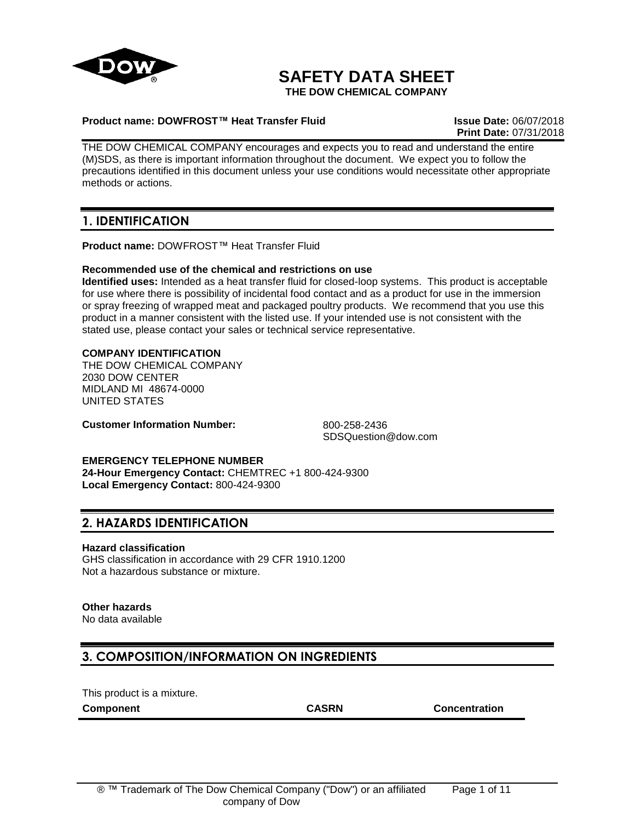

# **SAFETY DATA SHEET**

**THE DOW CHEMICAL COMPANY**

### **Product name: DOWFROST™ Heat Transfer Fluid Issue Date:** 06/07/2018

**Print Date:** 07/31/2018

THE DOW CHEMICAL COMPANY encourages and expects you to read and understand the entire (M)SDS, as there is important information throughout the document. We expect you to follow the precautions identified in this document unless your use conditions would necessitate other appropriate methods or actions.

## **1. IDENTIFICATION**

**Product name:** DOWFROST™ Heat Transfer Fluid

### **Recommended use of the chemical and restrictions on use**

**Identified uses:** Intended as a heat transfer fluid for closed-loop systems. This product is acceptable for use where there is possibility of incidental food contact and as a product for use in the immersion or spray freezing of wrapped meat and packaged poultry products. We recommend that you use this product in a manner consistent with the listed use. If your intended use is not consistent with the stated use, please contact your sales or technical service representative.

## **COMPANY IDENTIFICATION**

THE DOW CHEMICAL COMPANY 2030 DOW CENTER MIDLAND MI 48674-0000 UNITED STATES

**Customer Information Number:** 800-258-2436

SDSQuestion@dow.com

**EMERGENCY TELEPHONE NUMBER 24-Hour Emergency Contact:** CHEMTREC +1 800-424-9300 **Local Emergency Contact:** 800-424-9300

## **2. HAZARDS IDENTIFICATION**

### **Hazard classification**

GHS classification in accordance with 29 CFR 1910.1200 Not a hazardous substance or mixture.

### **Other hazards**

No data available

## **3. COMPOSITION/INFORMATION ON INGREDIENTS**

This product is a mixture.

**Component CASRN Concentration**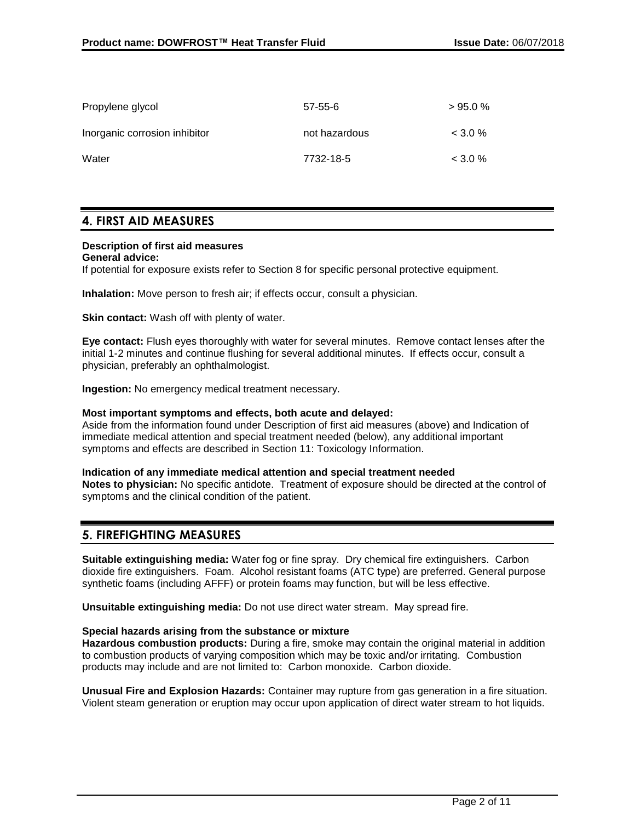| Propylene glycol              | $57 - 55 - 6$ | >95.0%    |
|-------------------------------|---------------|-----------|
| Inorganic corrosion inhibitor | not hazardous | $<$ 3.0 % |
| Water                         | 7732-18-5     | $<$ 3.0 % |

## **4. FIRST AID MEASURES**

### **Description of first aid measures**

**General advice:**

If potential for exposure exists refer to Section 8 for specific personal protective equipment.

**Inhalation:** Move person to fresh air; if effects occur, consult a physician.

**Skin contact:** Wash off with plenty of water.

**Eye contact:** Flush eyes thoroughly with water for several minutes. Remove contact lenses after the initial 1-2 minutes and continue flushing for several additional minutes. If effects occur, consult a physician, preferably an ophthalmologist.

**Ingestion:** No emergency medical treatment necessary.

### **Most important symptoms and effects, both acute and delayed:**

Aside from the information found under Description of first aid measures (above) and Indication of immediate medical attention and special treatment needed (below), any additional important symptoms and effects are described in Section 11: Toxicology Information.

### **Indication of any immediate medical attention and special treatment needed**

**Notes to physician:** No specific antidote. Treatment of exposure should be directed at the control of symptoms and the clinical condition of the patient.

## **5. FIREFIGHTING MEASURES**

**Suitable extinguishing media:** Water fog or fine spray. Dry chemical fire extinguishers. Carbon dioxide fire extinguishers. Foam. Alcohol resistant foams (ATC type) are preferred. General purpose synthetic foams (including AFFF) or protein foams may function, but will be less effective.

**Unsuitable extinguishing media:** Do not use direct water stream. May spread fire.

### **Special hazards arising from the substance or mixture**

**Hazardous combustion products:** During a fire, smoke may contain the original material in addition to combustion products of varying composition which may be toxic and/or irritating. Combustion products may include and are not limited to: Carbon monoxide. Carbon dioxide.

**Unusual Fire and Explosion Hazards:** Container may rupture from gas generation in a fire situation. Violent steam generation or eruption may occur upon application of direct water stream to hot liquids.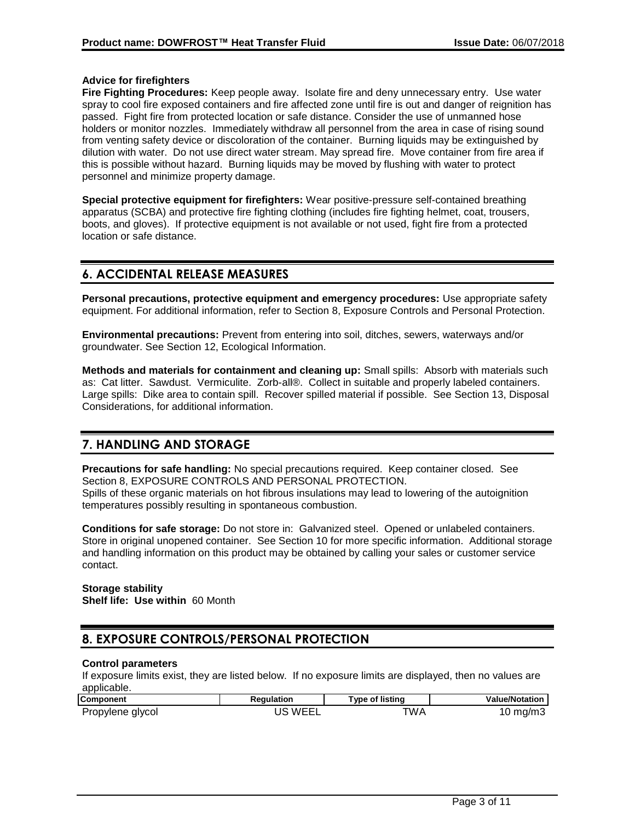### **Advice for firefighters**

**Fire Fighting Procedures:** Keep people away. Isolate fire and deny unnecessary entry. Use water spray to cool fire exposed containers and fire affected zone until fire is out and danger of reignition has passed. Fight fire from protected location or safe distance. Consider the use of unmanned hose holders or monitor nozzles. Immediately withdraw all personnel from the area in case of rising sound from venting safety device or discoloration of the container. Burning liquids may be extinguished by dilution with water. Do not use direct water stream. May spread fire. Move container from fire area if this is possible without hazard. Burning liquids may be moved by flushing with water to protect personnel and minimize property damage.

**Special protective equipment for firefighters:** Wear positive-pressure self-contained breathing apparatus (SCBA) and protective fire fighting clothing (includes fire fighting helmet, coat, trousers, boots, and gloves). If protective equipment is not available or not used, fight fire from a protected location or safe distance.

## **6. ACCIDENTAL RELEASE MEASURES**

**Personal precautions, protective equipment and emergency procedures:** Use appropriate safety equipment. For additional information, refer to Section 8, Exposure Controls and Personal Protection.

**Environmental precautions:** Prevent from entering into soil, ditches, sewers, waterways and/or groundwater. See Section 12, Ecological Information.

**Methods and materials for containment and cleaning up:** Small spills: Absorb with materials such as: Cat litter. Sawdust. Vermiculite. Zorb-all®. Collect in suitable and properly labeled containers. Large spills: Dike area to contain spill. Recover spilled material if possible. See Section 13, Disposal Considerations, for additional information.

## **7. HANDLING AND STORAGE**

**Precautions for safe handling:** No special precautions required. Keep container closed. See Section 8, EXPOSURE CONTROLS AND PERSONAL PROTECTION. Spills of these organic materials on hot fibrous insulations may lead to lowering of the autoignition temperatures possibly resulting in spontaneous combustion.

**Conditions for safe storage:** Do not store in: Galvanized steel. Opened or unlabeled containers. Store in original unopened container. See Section 10 for more specific information. Additional storage and handling information on this product may be obtained by calling your sales or customer service contact.

## **Storage stability**

**Shelf life: Use within** 60 Month

## **8. EXPOSURE CONTROLS/PERSONAL PROTECTION**

### **Control parameters**

If exposure limits exist, they are listed below. If no exposure limits are displayed, then no values are applicable.

| <b>Component</b> | Reaulation | Type of listing | <b>Value/Notation</b> |
|------------------|------------|-----------------|-----------------------|
| Propylene glycol | US WEEL    | ™A              | 10 mg/m3              |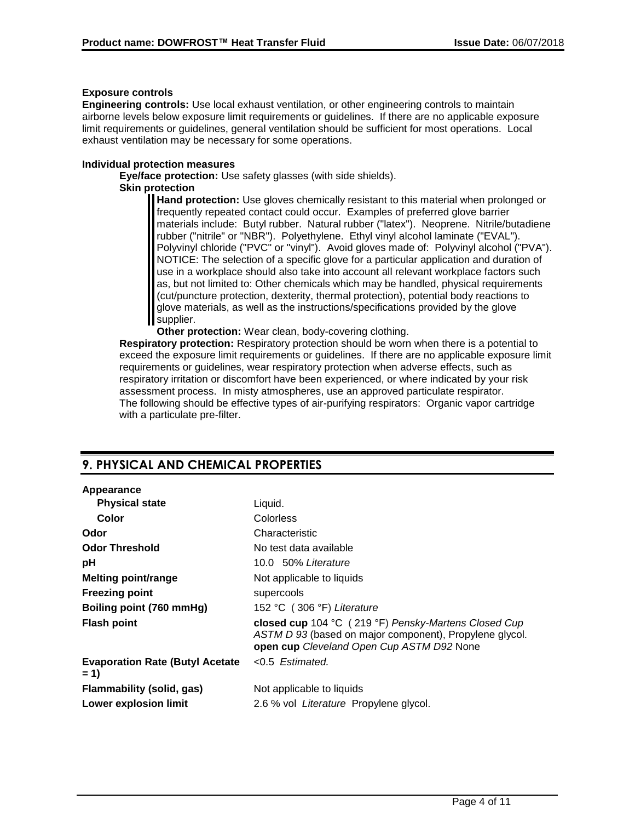### **Exposure controls**

**Engineering controls:** Use local exhaust ventilation, or other engineering controls to maintain airborne levels below exposure limit requirements or guidelines. If there are no applicable exposure limit requirements or guidelines, general ventilation should be sufficient for most operations. Local exhaust ventilation may be necessary for some operations.

### **Individual protection measures**

**Eye/face protection:** Use safety glasses (with side shields). **Skin protection**

> **Hand protection:** Use gloves chemically resistant to this material when prolonged or frequently repeated contact could occur. Examples of preferred glove barrier materials include: Butyl rubber. Natural rubber ("latex"). Neoprene. Nitrile/butadiene rubber ("nitrile" or "NBR"). Polyethylene. Ethyl vinyl alcohol laminate ("EVAL"). Polyvinyl chloride ("PVC" or "vinyl"). Avoid gloves made of: Polyvinyl alcohol ("PVA"). NOTICE: The selection of a specific glove for a particular application and duration of use in a workplace should also take into account all relevant workplace factors such as, but not limited to: Other chemicals which may be handled, physical requirements (cut/puncture protection, dexterity, thermal protection), potential body reactions to glove materials, as well as the instructions/specifications provided by the glove supplier.

**Other protection:** Wear clean, body-covering clothing.

**Respiratory protection:** Respiratory protection should be worn when there is a potential to exceed the exposure limit requirements or guidelines. If there are no applicable exposure limit requirements or guidelines, wear respiratory protection when adverse effects, such as respiratory irritation or discomfort have been experienced, or where indicated by your risk assessment process. In misty atmospheres, use an approved particulate respirator. The following should be effective types of air-purifying respirators: Organic vapor cartridge with a particulate pre-filter.

## **9. PHYSICAL AND CHEMICAL PROPERTIES**

#### **Appearance**

| <b>Physical state</b>                            | Liquid.                                                                                                                                                      |
|--------------------------------------------------|--------------------------------------------------------------------------------------------------------------------------------------------------------------|
| Color                                            | <b>Colorless</b>                                                                                                                                             |
| Odor                                             | Characteristic                                                                                                                                               |
| <b>Odor Threshold</b>                            | No test data available                                                                                                                                       |
| рH                                               | 10.0 50% Literature                                                                                                                                          |
| <b>Melting point/range</b>                       | Not applicable to liquids                                                                                                                                    |
| <b>Freezing point</b>                            | supercools                                                                                                                                                   |
| Boiling point (760 mmHg)                         | 152 °C (306 °F) Literature                                                                                                                                   |
| <b>Flash point</b>                               | closed cup 104 °C (219 °F) Pensky-Martens Closed Cup<br>ASTM D 93 (based on major component), Propylene glycol.<br>open cup Cleveland Open Cup ASTM D92 None |
| <b>Evaporation Rate (Butyl Acetate)</b><br>$= 1$ | <0.5 Estimated.                                                                                                                                              |
| Flammability (solid, gas)                        | Not applicable to liquids                                                                                                                                    |
| <b>Lower explosion limit</b>                     | 2.6 % vol Literature Propylene glycol.                                                                                                                       |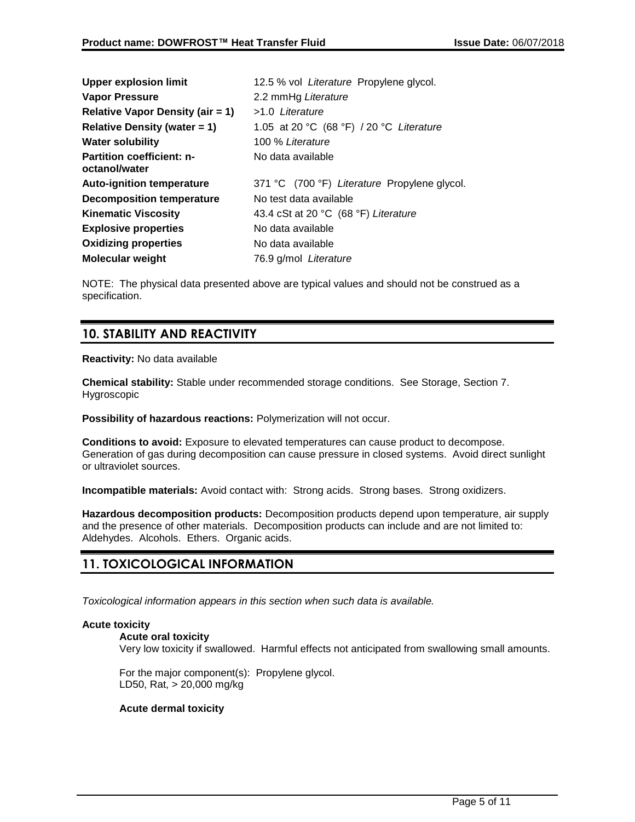| <b>Upper explosion limit</b>                      | 12.5 % vol Literature Propylene glycol.      |
|---------------------------------------------------|----------------------------------------------|
| <b>Vapor Pressure</b>                             | 2.2 mmHg Literature                          |
| <b>Relative Vapor Density (air = 1)</b>           | >1.0 Literature                              |
| Relative Density (water $= 1$ )                   | 1.05 at 20 °C (68 °F) / 20 °C Literature     |
| <b>Water solubility</b>                           | 100 % Literature                             |
| <b>Partition coefficient: n-</b><br>octanol/water | No data available                            |
| <b>Auto-ignition temperature</b>                  | 371 °C (700 °F) Literature Propylene glycol. |
| <b>Decomposition temperature</b>                  | No test data available                       |
| <b>Kinematic Viscosity</b>                        | 43.4 cSt at 20 °C (68 °F) Literature         |
| <b>Explosive properties</b>                       | No data available                            |
| <b>Oxidizing properties</b>                       | No data available                            |
| <b>Molecular weight</b>                           | 76.9 g/mol Literature                        |

NOTE: The physical data presented above are typical values and should not be construed as a specification.

## **10. STABILITY AND REACTIVITY**

### **Reactivity:** No data available

**Chemical stability:** Stable under recommended storage conditions. See Storage, Section 7. Hygroscopic

**Possibility of hazardous reactions:** Polymerization will not occur.

**Conditions to avoid:** Exposure to elevated temperatures can cause product to decompose. Generation of gas during decomposition can cause pressure in closed systems. Avoid direct sunlight or ultraviolet sources.

**Incompatible materials:** Avoid contact with: Strong acids. Strong bases. Strong oxidizers.

**Hazardous decomposition products:** Decomposition products depend upon temperature, air supply and the presence of other materials. Decomposition products can include and are not limited to: Aldehydes. Alcohols. Ethers. Organic acids.

## **11. TOXICOLOGICAL INFORMATION**

*Toxicological information appears in this section when such data is available.*

## **Acute toxicity**

### **Acute oral toxicity**

Very low toxicity if swallowed. Harmful effects not anticipated from swallowing small amounts.

For the major component(s): Propylene glycol. LD50, Rat, > 20,000 mg/kg

## **Acute dermal toxicity**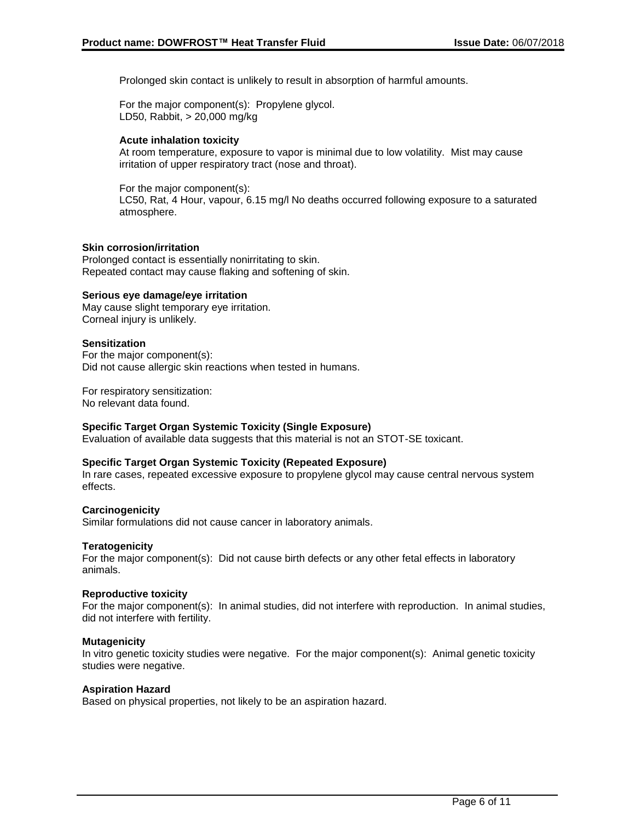Prolonged skin contact is unlikely to result in absorption of harmful amounts.

For the major component(s): Propylene glycol. LD50, Rabbit, > 20,000 mg/kg

### **Acute inhalation toxicity**

At room temperature, exposure to vapor is minimal due to low volatility. Mist may cause irritation of upper respiratory tract (nose and throat).

For the major component(s):

LC50, Rat, 4 Hour, vapour, 6.15 mg/l No deaths occurred following exposure to a saturated atmosphere.

### **Skin corrosion/irritation**

Prolonged contact is essentially nonirritating to skin. Repeated contact may cause flaking and softening of skin.

### **Serious eye damage/eye irritation**

May cause slight temporary eye irritation. Corneal injury is unlikely.

### **Sensitization**

For the major component(s): Did not cause allergic skin reactions when tested in humans.

For respiratory sensitization: No relevant data found.

### **Specific Target Organ Systemic Toxicity (Single Exposure)**

Evaluation of available data suggests that this material is not an STOT-SE toxicant.

### **Specific Target Organ Systemic Toxicity (Repeated Exposure)**

In rare cases, repeated excessive exposure to propylene glycol may cause central nervous system effects.

### **Carcinogenicity**

Similar formulations did not cause cancer in laboratory animals.

### **Teratogenicity**

For the major component(s): Did not cause birth defects or any other fetal effects in laboratory animals.

### **Reproductive toxicity**

For the major component(s): In animal studies, did not interfere with reproduction. In animal studies, did not interfere with fertility.

### **Mutagenicity**

In vitro genetic toxicity studies were negative. For the major component(s): Animal genetic toxicity studies were negative.

### **Aspiration Hazard**

Based on physical properties, not likely to be an aspiration hazard.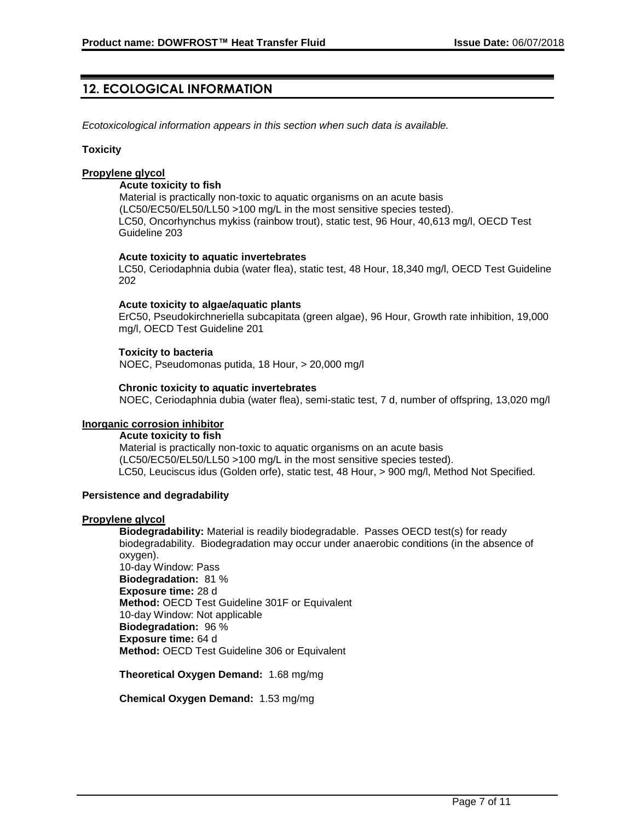## **12. ECOLOGICAL INFORMATION**

*Ecotoxicological information appears in this section when such data is available.*

#### **Toxicity**

### **Propylene glycol**

#### **Acute toxicity to fish**

Material is practically non-toxic to aquatic organisms on an acute basis (LC50/EC50/EL50/LL50 >100 mg/L in the most sensitive species tested). LC50, Oncorhynchus mykiss (rainbow trout), static test, 96 Hour, 40,613 mg/l, OECD Test Guideline 203

#### **Acute toxicity to aquatic invertebrates**

LC50, Ceriodaphnia dubia (water flea), static test, 48 Hour, 18,340 mg/l, OECD Test Guideline 202

### **Acute toxicity to algae/aquatic plants**

ErC50, Pseudokirchneriella subcapitata (green algae), 96 Hour, Growth rate inhibition, 19,000 mg/l, OECD Test Guideline 201

#### **Toxicity to bacteria**

NOEC, Pseudomonas putida, 18 Hour, > 20,000 mg/l

#### **Chronic toxicity to aquatic invertebrates**

NOEC, Ceriodaphnia dubia (water flea), semi-static test, 7 d, number of offspring, 13,020 mg/l

#### **Inorganic corrosion inhibitor**

### **Acute toxicity to fish**

Material is practically non-toxic to aquatic organisms on an acute basis (LC50/EC50/EL50/LL50 >100 mg/L in the most sensitive species tested). LC50, Leuciscus idus (Golden orfe), static test, 48 Hour, > 900 mg/l, Method Not Specified.

#### **Persistence and degradability**

#### **Propylene glycol**

**Biodegradability:** Material is readily biodegradable. Passes OECD test(s) for ready biodegradability. Biodegradation may occur under anaerobic conditions (in the absence of oxygen).

10-day Window: Pass **Biodegradation:** 81 % **Exposure time:** 28 d **Method:** OECD Test Guideline 301F or Equivalent 10-day Window: Not applicable **Biodegradation:** 96 % **Exposure time:** 64 d **Method:** OECD Test Guideline 306 or Equivalent

**Theoretical Oxygen Demand:** 1.68 mg/mg

**Chemical Oxygen Demand:** 1.53 mg/mg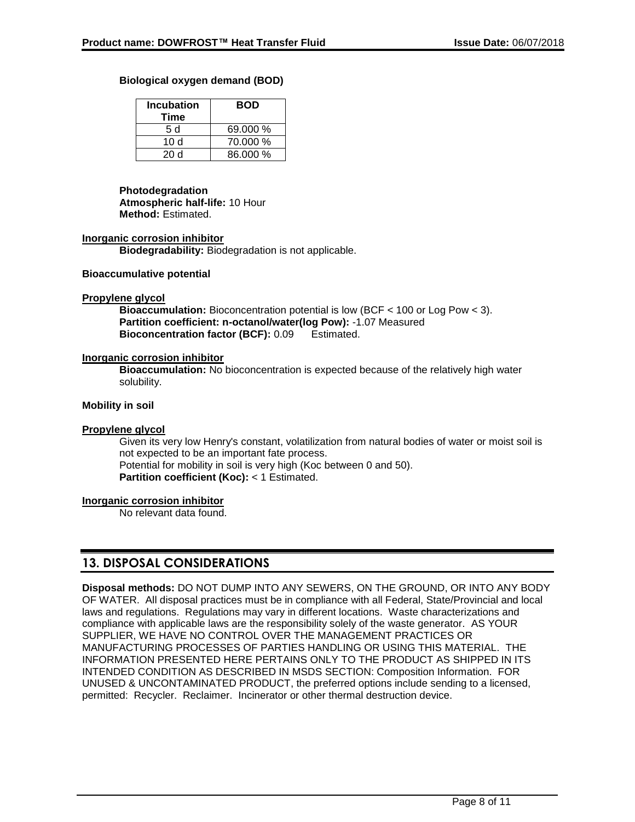### **Biological oxygen demand (BOD)**

| <b>Incubation</b><br>Time | <b>BOD</b> |
|---------------------------|------------|
| 5 d                       | 69.000 %   |
| 10 d                      | 70.000 %   |
| 20d                       | 86.000 %   |

### **Photodegradation**

**Atmospheric half-life:** 10 Hour **Method:** Estimated.

#### **Inorganic corrosion inhibitor**

**Biodegradability:** Biodegradation is not applicable.

#### **Bioaccumulative potential**

#### **Propylene glycol**

**Bioaccumulation:** Bioconcentration potential is low (BCF < 100 or Log Pow < 3). **Partition coefficient: n-octanol/water(log Pow):** -1.07 Measured **Bioconcentration factor (BCF):** 0.09 Estimated.

#### **Inorganic corrosion inhibitor**

**Bioaccumulation:** No bioconcentration is expected because of the relatively high water solubility.

#### **Mobility in soil**

### **Propylene glycol**

Given its very low Henry's constant, volatilization from natural bodies of water or moist soil is not expected to be an important fate process. Potential for mobility in soil is very high (Koc between 0 and 50). **Partition coefficient (Koc):** < 1 Estimated.

#### **Inorganic corrosion inhibitor**

No relevant data found.

## **13. DISPOSAL CONSIDERATIONS**

**Disposal methods:** DO NOT DUMP INTO ANY SEWERS, ON THE GROUND, OR INTO ANY BODY OF WATER. All disposal practices must be in compliance with all Federal, State/Provincial and local laws and regulations. Regulations may vary in different locations. Waste characterizations and compliance with applicable laws are the responsibility solely of the waste generator. AS YOUR SUPPLIER, WE HAVE NO CONTROL OVER THE MANAGEMENT PRACTICES OR MANUFACTURING PROCESSES OF PARTIES HANDLING OR USING THIS MATERIAL. THE INFORMATION PRESENTED HERE PERTAINS ONLY TO THE PRODUCT AS SHIPPED IN ITS INTENDED CONDITION AS DESCRIBED IN MSDS SECTION: Composition Information. FOR UNUSED & UNCONTAMINATED PRODUCT, the preferred options include sending to a licensed, permitted: Recycler. Reclaimer. Incinerator or other thermal destruction device.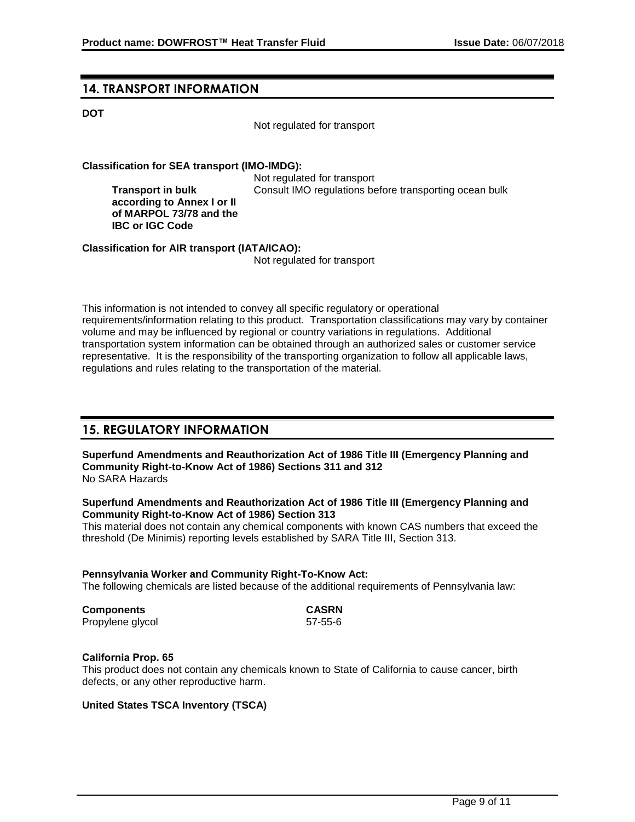## **14. TRANSPORT INFORMATION**

**Transport in bulk** 

**IBC or IGC Code**

### **DOT**

Not regulated for transport

### **Classification for SEA transport (IMO-IMDG):**

Not regulated for transport **according to Annex I or II of MARPOL 73/78 and the**  Consult IMO regulations before transporting ocean bulk

**Classification for AIR transport (IATA/ICAO):**

Not regulated for transport

This information is not intended to convey all specific regulatory or operational requirements/information relating to this product. Transportation classifications may vary by container volume and may be influenced by regional or country variations in regulations. Additional transportation system information can be obtained through an authorized sales or customer service representative. It is the responsibility of the transporting organization to follow all applicable laws, regulations and rules relating to the transportation of the material.

## **15. REGULATORY INFORMATION**

**Superfund Amendments and Reauthorization Act of 1986 Title III (Emergency Planning and Community Right-to-Know Act of 1986) Sections 311 and 312** No SARA Hazards

### **Superfund Amendments and Reauthorization Act of 1986 Title III (Emergency Planning and Community Right-to-Know Act of 1986) Section 313**

This material does not contain any chemical components with known CAS numbers that exceed the threshold (De Minimis) reporting levels established by SARA Title III, Section 313.

# **Pennsylvania Worker and Community Right-To-Know Act:** The following chemicals are listed because of the additional requirements of Pennsylvania law: **Components CASRN**

| Components       | <b>GASKN</b> |
|------------------|--------------|
| Propylene glycol | 57-55-6      |

### **California Prop. 65**

This product does not contain any chemicals known to State of California to cause cancer, birth defects, or any other reproductive harm.

## **United States TSCA Inventory (TSCA)**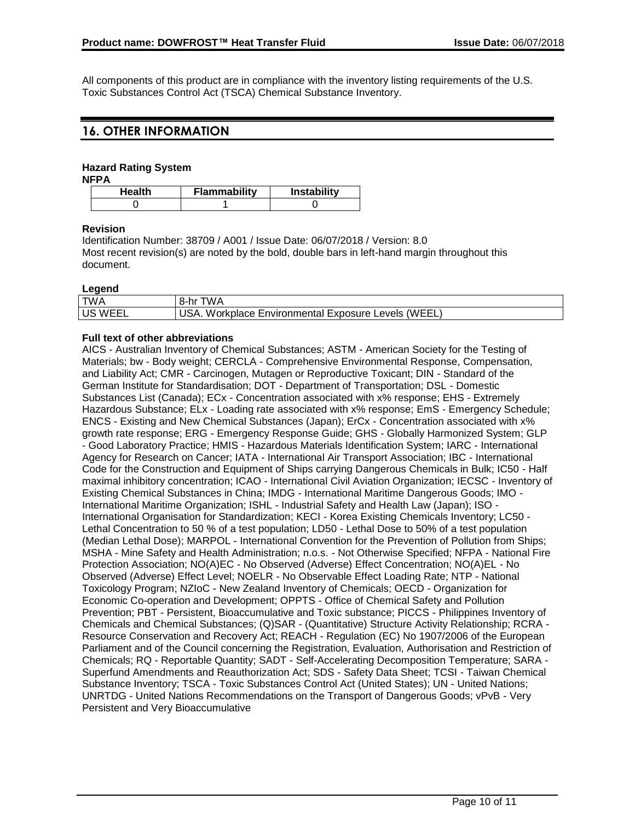All components of this product are in compliance with the inventory listing requirements of the U.S. Toxic Substances Control Act (TSCA) Chemical Substance Inventory.

## **16. OTHER INFORMATION**

## **Hazard Rating System**

**NFPA**

| Health | <b>Flammability</b> | <b>Instability</b> |
|--------|---------------------|--------------------|
|        |                     |                    |

### **Revision**

Identification Number: 38709 / A001 / Issue Date: 06/07/2018 / Version: 8.0 Most recent revision(s) are noted by the bold, double bars in left-hand margin throughout this document.

### **Legend**

| --------       |                                                     |
|----------------|-----------------------------------------------------|
| <b>TWA</b>     | 8-hr TWA                                            |
| <b>US WEEL</b> | USA. Workplace Environmental Exposure Levels (WEEL) |

### **Full text of other abbreviations**

AICS - Australian Inventory of Chemical Substances; ASTM - American Society for the Testing of Materials; bw - Body weight; CERCLA - Comprehensive Environmental Response, Compensation, and Liability Act; CMR - Carcinogen, Mutagen or Reproductive Toxicant; DIN - Standard of the German Institute for Standardisation; DOT - Department of Transportation; DSL - Domestic Substances List (Canada); ECx - Concentration associated with x% response; EHS - Extremely Hazardous Substance; ELx - Loading rate associated with x% response; EmS - Emergency Schedule; ENCS - Existing and New Chemical Substances (Japan); ErCx - Concentration associated with x% growth rate response; ERG - Emergency Response Guide; GHS - Globally Harmonized System; GLP - Good Laboratory Practice; HMIS - Hazardous Materials Identification System; IARC - International Agency for Research on Cancer; IATA - International Air Transport Association; IBC - International Code for the Construction and Equipment of Ships carrying Dangerous Chemicals in Bulk; IC50 - Half maximal inhibitory concentration; ICAO - International Civil Aviation Organization; IECSC - Inventory of Existing Chemical Substances in China; IMDG - International Maritime Dangerous Goods; IMO - International Maritime Organization; ISHL - Industrial Safety and Health Law (Japan); ISO - International Organisation for Standardization; KECI - Korea Existing Chemicals Inventory; LC50 - Lethal Concentration to 50 % of a test population; LD50 - Lethal Dose to 50% of a test population (Median Lethal Dose); MARPOL - International Convention for the Prevention of Pollution from Ships; MSHA - Mine Safety and Health Administration; n.o.s. - Not Otherwise Specified; NFPA - National Fire Protection Association; NO(A)EC - No Observed (Adverse) Effect Concentration; NO(A)EL - No Observed (Adverse) Effect Level; NOELR - No Observable Effect Loading Rate; NTP - National Toxicology Program; NZIoC - New Zealand Inventory of Chemicals; OECD - Organization for Economic Co-operation and Development; OPPTS - Office of Chemical Safety and Pollution Prevention; PBT - Persistent, Bioaccumulative and Toxic substance; PICCS - Philippines Inventory of Chemicals and Chemical Substances; (Q)SAR - (Quantitative) Structure Activity Relationship; RCRA - Resource Conservation and Recovery Act; REACH - Regulation (EC) No 1907/2006 of the European Parliament and of the Council concerning the Registration, Evaluation, Authorisation and Restriction of Chemicals; RQ - Reportable Quantity; SADT - Self-Accelerating Decomposition Temperature; SARA - Superfund Amendments and Reauthorization Act; SDS - Safety Data Sheet; TCSI - Taiwan Chemical Substance Inventory; TSCA - Toxic Substances Control Act (United States); UN - United Nations; UNRTDG - United Nations Recommendations on the Transport of Dangerous Goods; vPvB - Very Persistent and Very Bioaccumulative